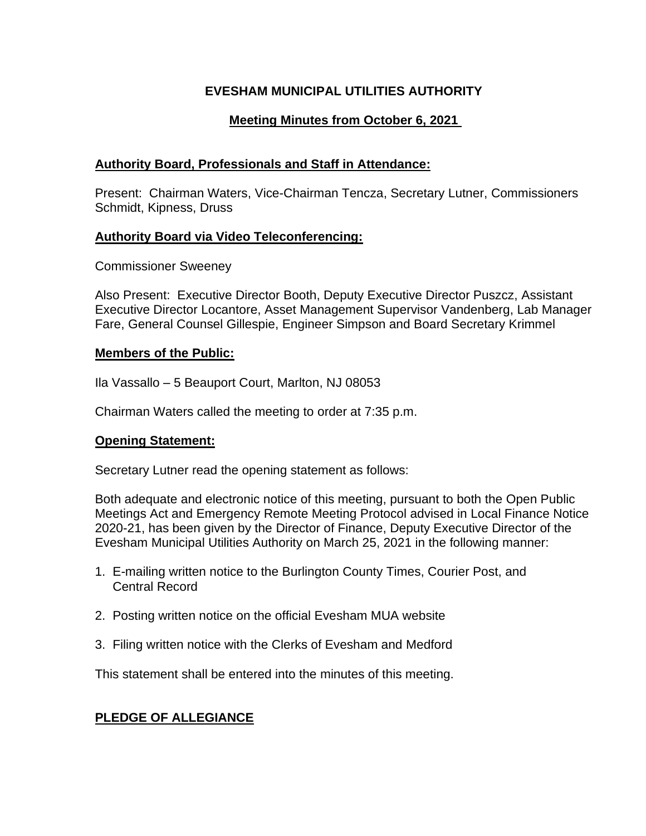# **EVESHAM MUNICIPAL UTILITIES AUTHORITY**

# **Meeting Minutes from October 6, 2021**

# **Authority Board, Professionals and Staff in Attendance:**

Present: Chairman Waters, Vice-Chairman Tencza, Secretary Lutner, Commissioners Schmidt, Kipness, Druss

### **Authority Board via Video Teleconferencing:**

Commissioner Sweeney

Also Present: Executive Director Booth, Deputy Executive Director Puszcz, Assistant Executive Director Locantore, Asset Management Supervisor Vandenberg, Lab Manager Fare, General Counsel Gillespie, Engineer Simpson and Board Secretary Krimmel

### **Members of the Public:**

Ila Vassallo – 5 Beauport Court, Marlton, NJ 08053

Chairman Waters called the meeting to order at 7:35 p.m.

#### **Opening Statement:**

Secretary Lutner read the opening statement as follows:

Both adequate and electronic notice of this meeting, pursuant to both the Open Public Meetings Act and Emergency Remote Meeting Protocol advised in Local Finance Notice 2020-21, has been given by the Director of Finance, Deputy Executive Director of the Evesham Municipal Utilities Authority on March 25, 2021 in the following manner:

- 1. E-mailing written notice to the Burlington County Times, Courier Post, and Central Record
- 2. Posting written notice on the official Evesham MUA website
- 3. Filing written notice with the Clerks of Evesham and Medford

This statement shall be entered into the minutes of this meeting.

# **PLEDGE OF ALLEGIANCE**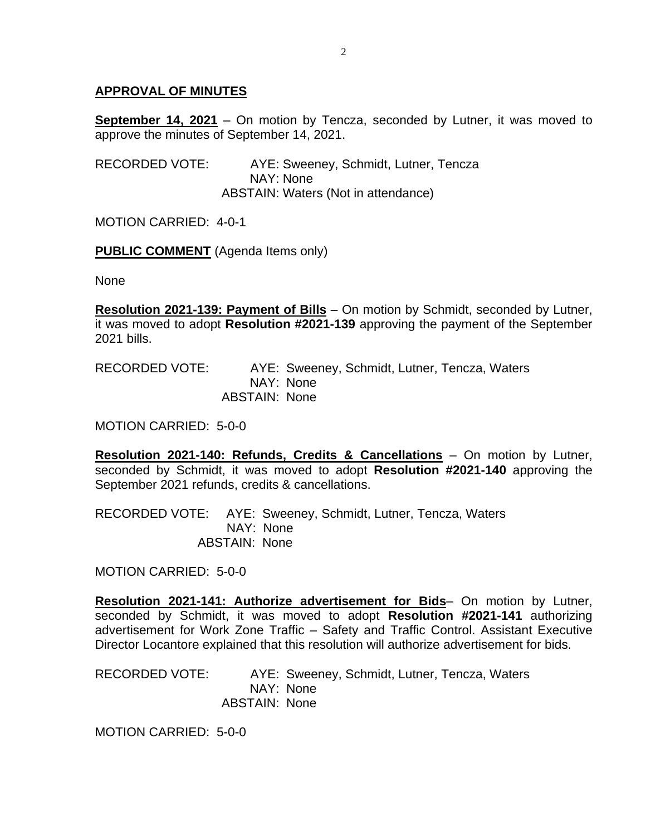### **APPROVAL OF MINUTES**

**September 14, 2021** – On motion by Tencza, seconded by Lutner, it was moved to approve the minutes of September 14, 2021.

RECORDED VOTE: AYE: Sweeney, Schmidt, Lutner, Tencza NAY: None ABSTAIN: Waters (Not in attendance)

MOTION CARRIED: 4-0-1

**PUBLIC COMMENT** (Agenda Items only)

None

**Resolution 2021-139: Payment of Bills** – On motion by Schmidt, seconded by Lutner, it was moved to adopt **Resolution #2021-139** approving the payment of the September 2021 bills.

RECORDED VOTE: AYE: Sweeney, Schmidt, Lutner, Tencza, Waters NAY: None ABSTAIN: None

MOTION CARRIED: 5-0-0

**Resolution 2021-140: Refunds, Credits & Cancellations** – On motion by Lutner, seconded by Schmidt, it was moved to adopt **Resolution #2021-140** approving the September 2021 refunds, credits & cancellations.

RECORDED VOTE: AYE: Sweeney, Schmidt, Lutner, Tencza, Waters NAY: None ABSTAIN: None

MOTION CARRIED: 5-0-0

**Resolution 2021-141: Authorize advertisement for Bids**– On motion by Lutner, seconded by Schmidt, it was moved to adopt **Resolution #2021-141** authorizing advertisement for Work Zone Traffic – Safety and Traffic Control. Assistant Executive Director Locantore explained that this resolution will authorize advertisement for bids.

RECORDED VOTE: AYE: Sweeney, Schmidt, Lutner, Tencza, Waters NAY: None ABSTAIN: None

MOTION CARRIED: 5-0-0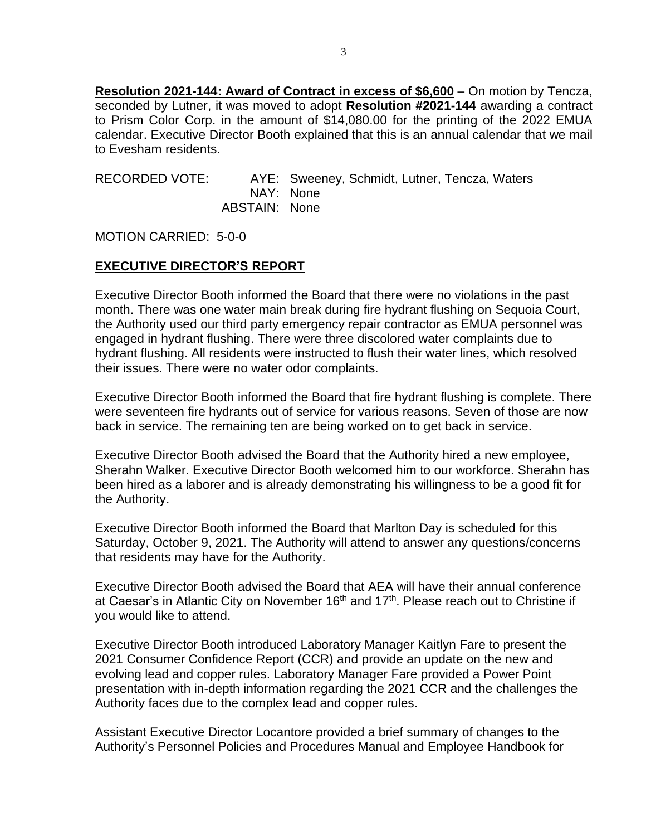**Resolution 2021-144: Award of Contract in excess of \$6,600** – On motion by Tencza, seconded by Lutner, it was moved to adopt **Resolution #2021-144** awarding a contract to Prism Color Corp. in the amount of \$14,080.00 for the printing of the 2022 EMUA calendar. Executive Director Booth explained that this is an annual calendar that we mail to Evesham residents.

RECORDED VOTE: AYE: Sweeney, Schmidt, Lutner, Tencza, Waters NAY: None ABSTAIN: None

MOTION CARRIED: 5-0-0

#### **EXECUTIVE DIRECTOR'S REPORT**

Executive Director Booth informed the Board that there were no violations in the past month. There was one water main break during fire hydrant flushing on Sequoia Court, the Authority used our third party emergency repair contractor as EMUA personnel was engaged in hydrant flushing. There were three discolored water complaints due to hydrant flushing. All residents were instructed to flush their water lines, which resolved their issues. There were no water odor complaints.

Executive Director Booth informed the Board that fire hydrant flushing is complete. There were seventeen fire hydrants out of service for various reasons. Seven of those are now back in service. The remaining ten are being worked on to get back in service.

Executive Director Booth advised the Board that the Authority hired a new employee, Sherahn Walker. Executive Director Booth welcomed him to our workforce. Sherahn has been hired as a laborer and is already demonstrating his willingness to be a good fit for the Authority.

Executive Director Booth informed the Board that Marlton Day is scheduled for this Saturday, October 9, 2021. The Authority will attend to answer any questions/concerns that residents may have for the Authority.

Executive Director Booth advised the Board that AEA will have their annual conference at Caesar's in Atlantic City on November 16<sup>th</sup> and 17<sup>th</sup>. Please reach out to Christine if you would like to attend.

Executive Director Booth introduced Laboratory Manager Kaitlyn Fare to present the 2021 Consumer Confidence Report (CCR) and provide an update on the new and evolving lead and copper rules. Laboratory Manager Fare provided a Power Point presentation with in-depth information regarding the 2021 CCR and the challenges the Authority faces due to the complex lead and copper rules.

Assistant Executive Director Locantore provided a brief summary of changes to the Authority's Personnel Policies and Procedures Manual and Employee Handbook for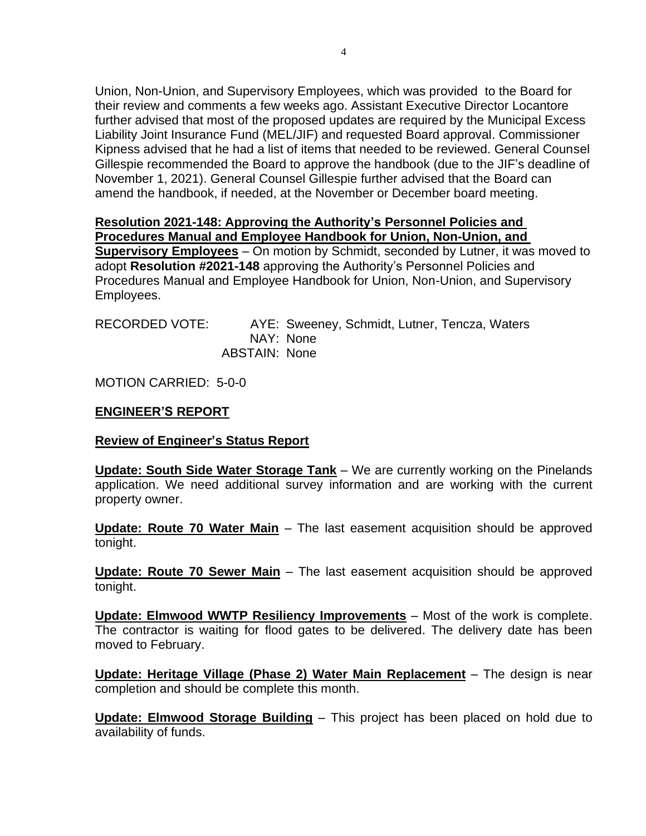Union, Non-Union, and Supervisory Employees, which was provided to the Board for their review and comments a few weeks ago. Assistant Executive Director Locantore further advised that most of the proposed updates are required by the Municipal Excess Liability Joint Insurance Fund (MEL/JIF) and requested Board approval. Commissioner Kipness advised that he had a list of items that needed to be reviewed. General Counsel Gillespie recommended the Board to approve the handbook (due to the JIF's deadline of November 1, 2021). General Counsel Gillespie further advised that the Board can amend the handbook, if needed, at the November or December board meeting.

#### **Resolution 2021-148: Approving the Authority's Personnel Policies and Procedures Manual and Employee Handbook for Union, Non-Union, and**

**Supervisory Employees** – On motion by Schmidt, seconded by Lutner, it was moved to adopt **Resolution #2021-148** approving the Authority's Personnel Policies and Procedures Manual and Employee Handbook for Union, Non-Union, and Supervisory Employees.

| RECORDED VOTE: |                      | AYE: Sweeney, Schmidt, Lutner, Tencza, Waters |  |  |
|----------------|----------------------|-----------------------------------------------|--|--|
|                |                      | NAY: None                                     |  |  |
|                | <b>ABSTAIN: None</b> |                                               |  |  |

MOTION CARRIED: 5-0-0

#### **ENGINEER'S REPORT**

#### **Review of Engineer's Status Report**

**Update: South Side Water Storage Tank** – We are currently working on the Pinelands application. We need additional survey information and are working with the current property owner.

**Update: Route 70 Water Main** – The last easement acquisition should be approved tonight.

**Update: Route 70 Sewer Main** – The last easement acquisition should be approved tonight.

**Update: Elmwood WWTP Resiliency Improvements** – Most of the work is complete. The contractor is waiting for flood gates to be delivered. The delivery date has been moved to February.

**Update: Heritage Village (Phase 2) Water Main Replacement** – The design is near completion and should be complete this month.

**Update: Elmwood Storage Building** – This project has been placed on hold due to availability of funds.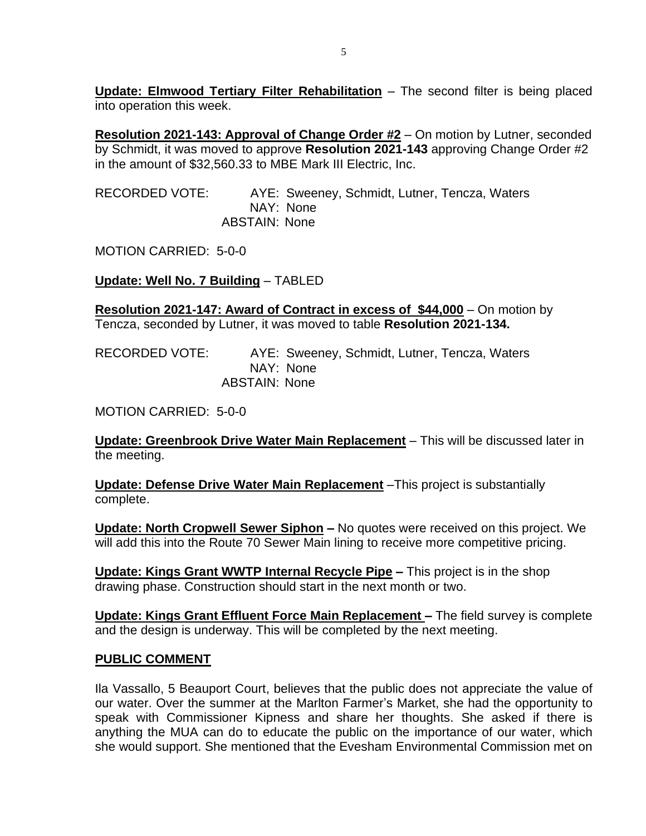**Update: Elmwood Tertiary Filter Rehabilitation** – The second filter is being placed into operation this week.

**Resolution 2021-143: Approval of Change Order #2** – On motion by Lutner, seconded by Schmidt, it was moved to approve **Resolution 2021-143** approving Change Order #2 in the amount of \$32,560.33 to MBE Mark III Electric, Inc.

RECORDED VOTE: AYE: Sweeney, Schmidt, Lutner, Tencza, Waters NAY: None ABSTAIN: None

MOTION CARRIED: 5-0-0

**Update: Well No. 7 Building** – TABLED

**Resolution 2021-147: Award of Contract in excess of \$44,000** – On motion by Tencza, seconded by Lutner, it was moved to table **Resolution 2021-134.**

RECORDED VOTE: AYE: Sweeney, Schmidt, Lutner, Tencza, Waters NAY: None ABSTAIN: None

MOTION CARRIED: 5-0-0

**Update: Greenbrook Drive Water Main Replacement** – This will be discussed later in the meeting.

**Update: Defense Drive Water Main Replacement** –This project is substantially complete.

**Update: North Cropwell Sewer Siphon –** No quotes were received on this project. We will add this into the Route 70 Sewer Main lining to receive more competitive pricing.

**Update: Kings Grant WWTP Internal Recycle Pipe –** This project is in the shop drawing phase. Construction should start in the next month or two.

**Update: Kings Grant Effluent Force Main Replacement –** The field survey is complete and the design is underway. This will be completed by the next meeting.

#### **PUBLIC COMMENT**

Ila Vassallo, 5 Beauport Court, believes that the public does not appreciate the value of our water. Over the summer at the Marlton Farmer's Market, she had the opportunity to speak with Commissioner Kipness and share her thoughts. She asked if there is anything the MUA can do to educate the public on the importance of our water, which she would support. She mentioned that the Evesham Environmental Commission met on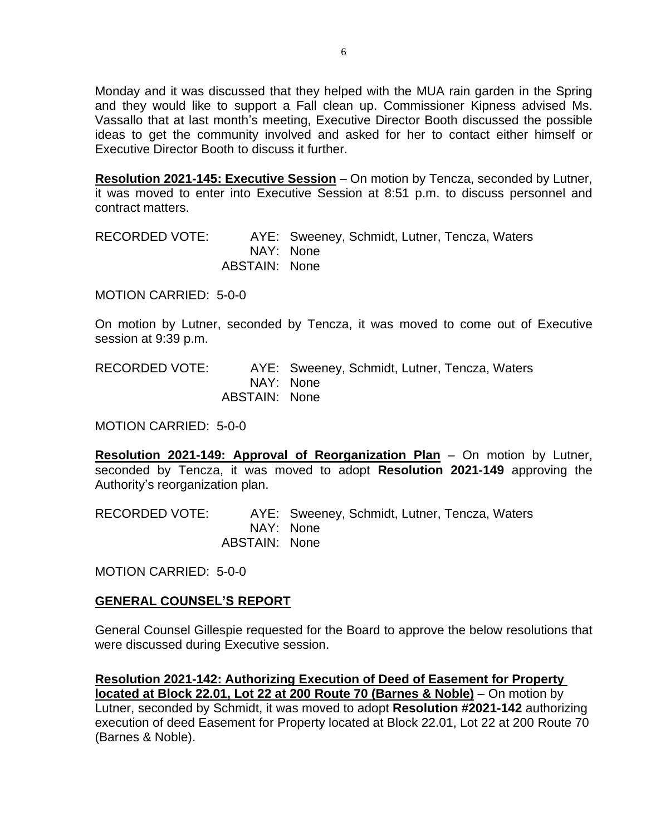Monday and it was discussed that they helped with the MUA rain garden in the Spring and they would like to support a Fall clean up. Commissioner Kipness advised Ms. Vassallo that at last month's meeting, Executive Director Booth discussed the possible ideas to get the community involved and asked for her to contact either himself or Executive Director Booth to discuss it further.

**Resolution 2021-145: Executive Session** – On motion by Tencza, seconded by Lutner, it was moved to enter into Executive Session at 8:51 p.m. to discuss personnel and contract matters.

RECORDED VOTE: AYE: Sweeney, Schmidt, Lutner, Tencza, Waters NAY: None ABSTAIN: None

MOTION CARRIED: 5-0-0

On motion by Lutner, seconded by Tencza, it was moved to come out of Executive session at 9:39 p.m.

RECORDED VOTE: AYE: Sweeney, Schmidt, Lutner, Tencza, Waters NAY: None ABSTAIN: None

MOTION CARRIED: 5-0-0

**Resolution 2021-149: Approval of Reorganization Plan** – On motion by Lutner, seconded by Tencza, it was moved to adopt **Resolution 2021-149** approving the Authority's reorganization plan.

RECORDED VOTE: AYE: Sweeney, Schmidt, Lutner, Tencza, Waters NAY: None ABSTAIN: None

MOTION CARRIED: 5-0-0

#### **GENERAL COUNSEL'S REPORT**

General Counsel Gillespie requested for the Board to approve the below resolutions that were discussed during Executive session.

**Resolution 2021-142: Authorizing Execution of Deed of Easement for Property located at Block 22.01, Lot 22 at 200 Route 70 (Barnes & Noble)** – On motion by Lutner, seconded by Schmidt, it was moved to adopt **Resolution #2021-142** authorizing execution of deed Easement for Property located at Block 22.01, Lot 22 at 200 Route 70 (Barnes & Noble).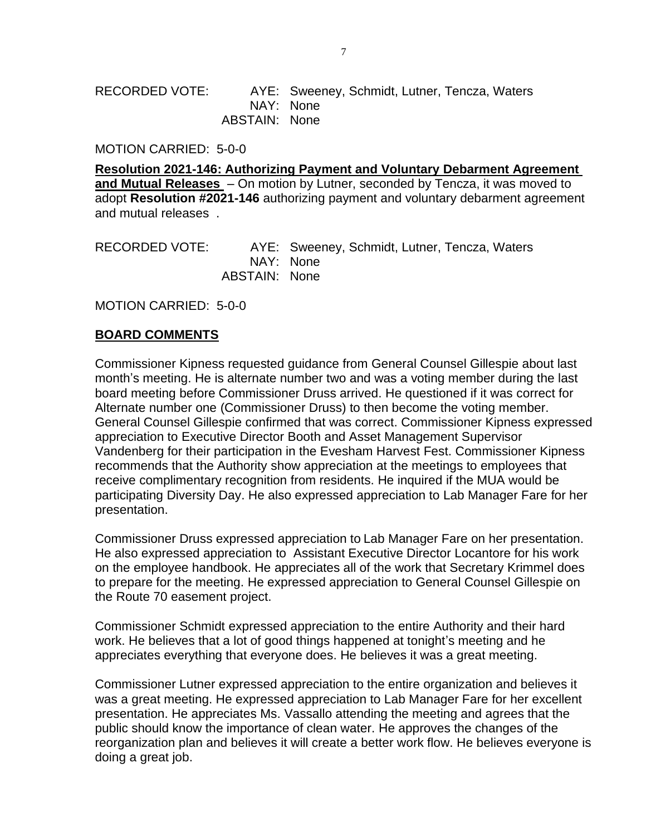#### RECORDED VOTE: AYE: Sweeney, Schmidt, Lutner, Tencza, Waters NAY: None ABSTAIN: None

MOTION CARRIED: 5-0-0

**Resolution 2021-146: Authorizing Payment and Voluntary Debarment Agreement and Mutual Releases** – On motion by Lutner, seconded by Tencza, it was moved to adopt **Resolution #2021-146** authorizing payment and voluntary debarment agreement and mutual releases .

RECORDED VOTE: AYE: Sweeney, Schmidt, Lutner, Tencza, Waters NAY: None ABSTAIN: None

MOTION CARRIED: 5-0-0

#### **BOARD COMMENTS**

Commissioner Kipness requested guidance from General Counsel Gillespie about last month's meeting. He is alternate number two and was a voting member during the last board meeting before Commissioner Druss arrived. He questioned if it was correct for Alternate number one (Commissioner Druss) to then become the voting member. General Counsel Gillespie confirmed that was correct. Commissioner Kipness expressed appreciation to Executive Director Booth and Asset Management Supervisor Vandenberg for their participation in the Evesham Harvest Fest. Commissioner Kipness recommends that the Authority show appreciation at the meetings to employees that receive complimentary recognition from residents. He inquired if the MUA would be participating Diversity Day. He also expressed appreciation to Lab Manager Fare for her presentation.

Commissioner Druss expressed appreciation to Lab Manager Fare on her presentation. He also expressed appreciation to Assistant Executive Director Locantore for his work on the employee handbook. He appreciates all of the work that Secretary Krimmel does to prepare for the meeting. He expressed appreciation to General Counsel Gillespie on the Route 70 easement project.

Commissioner Schmidt expressed appreciation to the entire Authority and their hard work. He believes that a lot of good things happened at tonight's meeting and he appreciates everything that everyone does. He believes it was a great meeting.

Commissioner Lutner expressed appreciation to the entire organization and believes it was a great meeting. He expressed appreciation to Lab Manager Fare for her excellent presentation. He appreciates Ms. Vassallo attending the meeting and agrees that the public should know the importance of clean water. He approves the changes of the reorganization plan and believes it will create a better work flow. He believes everyone is doing a great job.